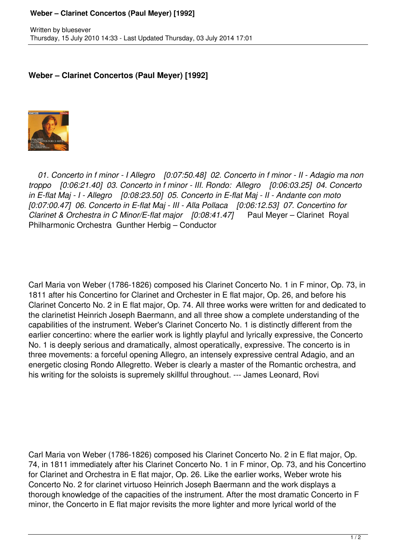## **Weber – Clarinet Concertos (Paul Meyer) [1992]**

## **Weber – Clarinet Concertos (Paul Meyer) [1992]**



 *01. Concerto in f minor - I Allegro [0:07:50.48] 02. Concerto in f minor - II - Adagio ma non troppo [0:06:21.40] 03. Concerto in f minor - III. Rondo: Allegro [0:06:03.25] 04. Concerto in E-flat Maj - I - Allegro [0:08:23.50] 05. Concerto in E-flat Maj - II - Andante con moto [0:07:00.47] 06. Concerto in E-flat Maj - III - Alla Pollaca [0:06:12.53] 07. Concertino for Clarinet & Orchestra in C Minor/E-flat major [0:08:41.47]* Paul Meyer – Clarinet Royal Philharmonic Orchestra Gunther Herbig – Conductor

Carl Maria von Weber (1786-1826) composed his Clarinet Concerto No. 1 in F minor, Op. 73, in 1811 after his Concertino for Clarinet and Orchester in E flat major, Op. 26, and before his Clarinet Concerto No. 2 in E flat major, Op. 74. All three works were written for and dedicated to the clarinetist Heinrich Joseph Baermann, and all three show a complete understanding of the capabilities of the instrument. Weber's Clarinet Concerto No. 1 is distinctly different from the earlier concertino: where the earlier work is lightly playful and lyrically expressive, the Concerto No. 1 is deeply serious and dramatically, almost operatically, expressive. The concerto is in three movements: a forceful opening Allegro, an intensely expressive central Adagio, and an energetic closing Rondo Allegretto. Weber is clearly a master of the Romantic orchestra, and his writing for the soloists is supremely skillful throughout. --- James Leonard, Rovi

Carl Maria von Weber (1786-1826) composed his Clarinet Concerto No. 2 in E flat major, Op. 74, in 1811 immediately after his Clarinet Concerto No. 1 in F minor, Op. 73, and his Concertino for Clarinet and Orchestra in E flat major, Op. 26. Like the earlier works, Weber wrote his Concerto No. 2 for clarinet virtuoso Heinrich Joseph Baermann and the work displays a thorough knowledge of the capacities of the instrument. After the most dramatic Concerto in F minor, the Concerto in E flat major revisits the more lighter and more lyrical world of the